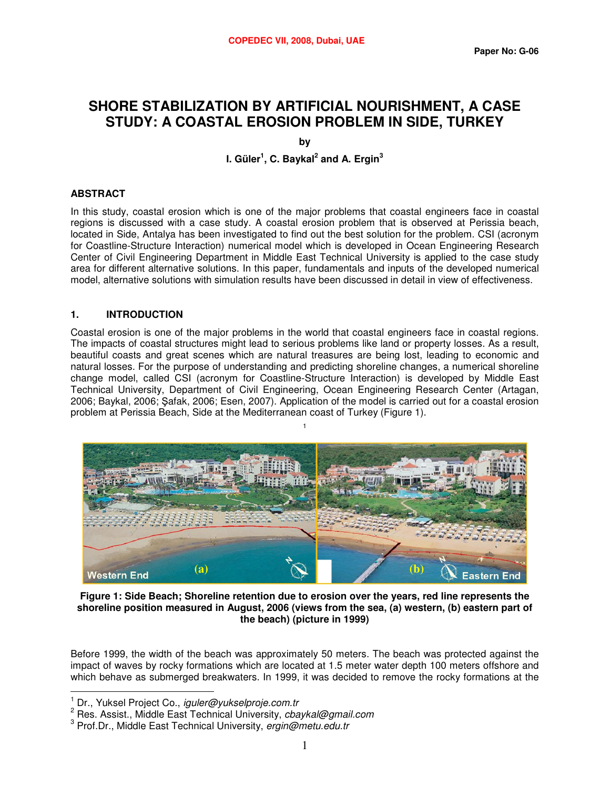# **SHORE STABILIZATION BY ARTIFICIAL NOURISHMENT, A CASE STUDY: A COASTAL EROSION PROBLEM IN SIDE, TURKEY**

**by I. Güler<sup>1</sup> , C. Baykal<sup>2</sup> and A. Ergin<sup>3</sup>**

# **ABSTRACT**

In this study, coastal erosion which is one of the major problems that coastal engineers face in coastal regions is discussed with a case study. A coastal erosion problem that is observed at Perissia beach, located in Side, Antalya has been investigated to find out the best solution for the problem. CSI (acronym for Coastline-Structure Interaction) numerical model which is developed in Ocean Engineering Research Center of Civil Engineering Department in Middle East Technical University is applied to the case study area for different alternative solutions. In this paper, fundamentals and inputs of the developed numerical model, alternative solutions with simulation results have been discussed in detail in view of effectiveness.

## **1. INTRODUCTION**

Coastal erosion is one of the major problems in the world that coastal engineers face in coastal regions. The impacts of coastal structures might lead to serious problems like land or property losses. As a result, beautiful coasts and great scenes which are natural treasures are being lost, leading to economic and natural losses. For the purpose of understanding and predicting shoreline changes, a numerical shoreline change model, called CSI (acronym for Coastline-Structure Interaction) is developed by Middle East Technical University, Department of Civil Engineering, Ocean Engineering Research Center (Artagan, 2006; Baykal, 2006; Şafak, 2006; Esen, 2007). Application of the model is carried out for a coastal erosion problem at Perissia Beach, Side at the Mediterranean coast of Turkey (Figure 1).

1



**Figure 1: Side Beach; Shoreline retention due to erosion over the years, red line represents the shoreline position measured in August, 2006 (views from the sea, (a) western, (b) eastern part of the beach) (picture in 1999)**

Before 1999, the width of the beach was approximately 50 meters. The beach was protected against the impact of waves by rocky formations which are located at 1.5 meter water depth 100 meters offshore and which behave as submerged breakwaters. In 1999, it was decided to remove the rocky formations at the

 $\overline{a}$ 

<sup>1</sup> Dr., Yuksel Project Co., iguler@yukselproje.com.tr

 $2$  Res. Assist., Middle East Technical University, cbaykal@gmail.com

<sup>&</sup>lt;sup>3</sup> Prof.Dr., Middle East Technical University, ergin@metu.edu.tr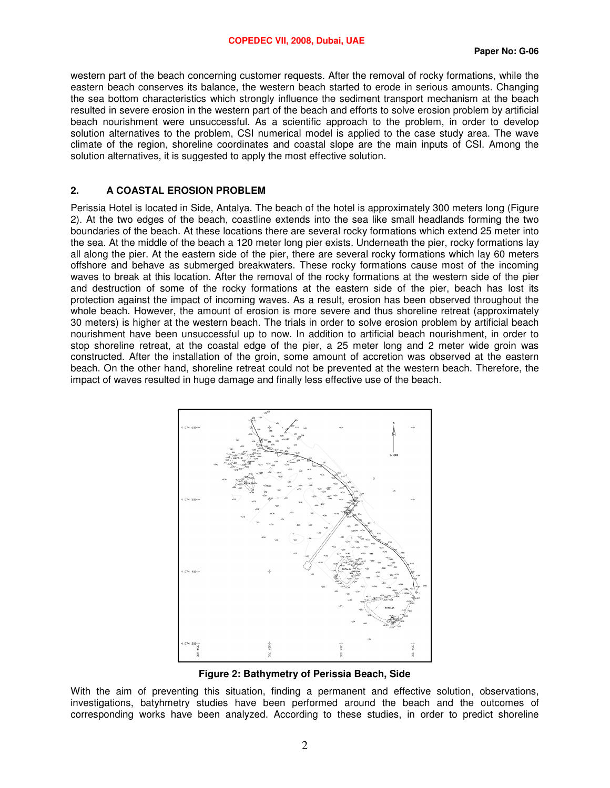western part of the beach concerning customer requests. After the removal of rocky formations, while the eastern beach conserves its balance, the western beach started to erode in serious amounts. Changing the sea bottom characteristics which strongly influence the sediment transport mechanism at the beach resulted in severe erosion in the western part of the beach and efforts to solve erosion problem by artificial beach nourishment were unsuccessful. As a scientific approach to the problem, in order to develop solution alternatives to the problem, CSI numerical model is applied to the case study area. The wave climate of the region, shoreline coordinates and coastal slope are the main inputs of CSI. Among the solution alternatives, it is suggested to apply the most effective solution.

#### **2. A COASTAL EROSION PROBLEM**

Perissia Hotel is located in Side, Antalya. The beach of the hotel is approximately 300 meters long (Figure 2). At the two edges of the beach, coastline extends into the sea like small headlands forming the two boundaries of the beach. At these locations there are several rocky formations which extend 25 meter into the sea. At the middle of the beach a 120 meter long pier exists. Underneath the pier, rocky formations lay all along the pier. At the eastern side of the pier, there are several rocky formations which lay 60 meters offshore and behave as submerged breakwaters. These rocky formations cause most of the incoming waves to break at this location. After the removal of the rocky formations at the western side of the pier and destruction of some of the rocky formations at the eastern side of the pier, beach has lost its protection against the impact of incoming waves. As a result, erosion has been observed throughout the whole beach. However, the amount of erosion is more severe and thus shoreline retreat (approximately 30 meters) is higher at the western beach. The trials in order to solve erosion problem by artificial beach nourishment have been unsuccessful up to now. In addition to artificial beach nourishment, in order to stop shoreline retreat, at the coastal edge of the pier, a 25 meter long and 2 meter wide groin was constructed. After the installation of the groin, some amount of accretion was observed at the eastern beach. On the other hand, shoreline retreat could not be prevented at the western beach. Therefore, the impact of waves resulted in huge damage and finally less effective use of the beach.



**Figure 2: Bathymetry of Perissia Beach, Side** 

With the aim of preventing this situation, finding a permanent and effective solution, observations, investigations, batyhmetry studies have been performed around the beach and the outcomes of corresponding works have been analyzed. According to these studies, in order to predict shoreline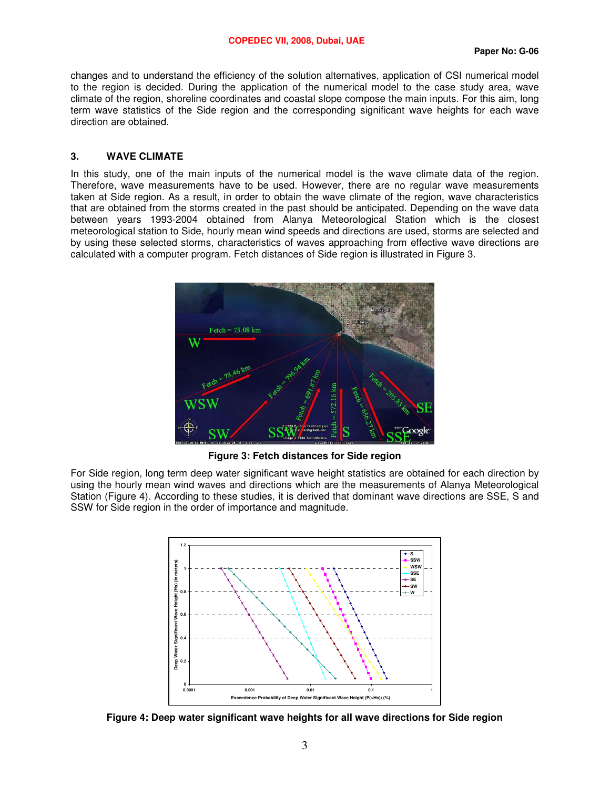changes and to understand the efficiency of the solution alternatives, application of CSI numerical model to the region is decided. During the application of the numerical model to the case study area, wave climate of the region, shoreline coordinates and coastal slope compose the main inputs. For this aim, long term wave statistics of the Side region and the corresponding significant wave heights for each wave direction are obtained.

#### **3. WAVE CLIMATE**

In this study, one of the main inputs of the numerical model is the wave climate data of the region. Therefore, wave measurements have to be used. However, there are no regular wave measurements taken at Side region. As a result, in order to obtain the wave climate of the region, wave characteristics that are obtained from the storms created in the past should be anticipated. Depending on the wave data between years 1993-2004 obtained from Alanya Meteorological Station which is the closest meteorological station to Side, hourly mean wind speeds and directions are used, storms are selected and by using these selected storms, characteristics of waves approaching from effective wave directions are calculated with a computer program. Fetch distances of Side region is illustrated in Figure 3.



**Figure 3: Fetch distances for Side region** 

For Side region, long term deep water significant wave height statistics are obtained for each direction by using the hourly mean wind waves and directions which are the measurements of Alanya Meteorological Station (Figure 4). According to these studies, it is derived that dominant wave directions are SSE, S and SSW for Side region in the order of importance and magnitude.



**Figure 4: Deep water significant wave heights for all wave directions for Side region**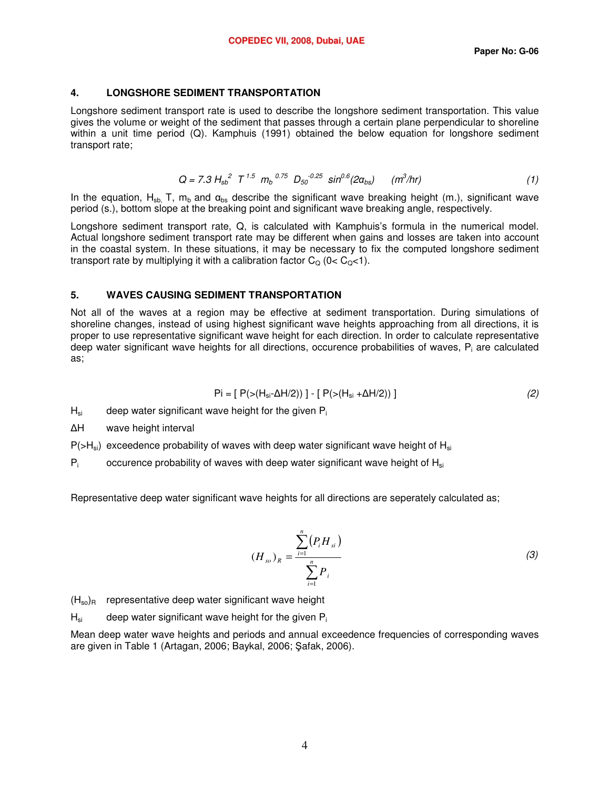# **4. LONGSHORE SEDIMENT TRANSPORTATION**

Longshore sediment transport rate is used to describe the longshore sediment transportation. This value gives the volume or weight of the sediment that passes through a certain plane perpendicular to shoreline within a unit time period (Q). Kamphuis (1991) obtained the below equation for longshore sediment transport rate;

$$
Q = 7.3 H_{sb}^{2} T^{1.5} m_b^{0.75} D_{50}^{-0.25} sin^{0.6}(2\alpha_{bs}) \quad (m^3/hr)
$$
 (1)

In the equation, H<sub>sb</sub>, T, m<sub>b</sub> and  $\alpha_{\text{bs}}$  describe the significant wave breaking height (m.), significant wave period (s.), bottom slope at the breaking point and significant wave breaking angle, respectively.

Longshore sediment transport rate, Q, is calculated with Kamphuis's formula in the numerical model. Actual longshore sediment transport rate may be different when gains and losses are taken into account in the coastal system. In these situations, it may be necessary to fix the computed longshore sediment transport rate by multiplying it with a calibration factor  $C_{\Omega}$  (0<  $C_{\Omega}$ <1).

## **5. WAVES CAUSING SEDIMENT TRANSPORTATION**

Not all of the waves at a region may be effective at sediment transportation. During simulations of shoreline changes, instead of using highest significant wave heights approaching from all directions, it is proper to use representative significant wave height for each direction. In order to calculate representative deep water significant wave heights for all directions, occurence probabilities of waves, P<sub>i</sub> are calculated as;

$$
Pi = [ P(>(H_{si} - \Delta H/2)) ] - [ P(>(H_{si} + \Delta H/2)) ]
$$
 (2)

 $H_{si}$  deep water significant wave height for the given  $P_i$ 

∆H wave height interval

 $P(>=H_{si})$  exceedence probability of waves with deep water significant wave height of  $H_{si}$ 

 $P_i$ occurence probability of waves with deep water significant wave height of  $H_{si}$ 

Representative deep water significant wave heights for all directions are seperately calculated as;

$$
(H_{so})_R = \frac{\sum_{i=1}^n (P_i H_{si})}{\sum_{i=1}^n P_i}
$$
 (3)

 $(H_{so})_R$  representative deep water significant wave height

 $H_{si}$  deep water significant wave height for the given  $P_i$ 

Mean deep water wave heights and periods and annual exceedence frequencies of corresponding waves are given in Table 1 (Artagan, 2006; Baykal, 2006; Şafak, 2006).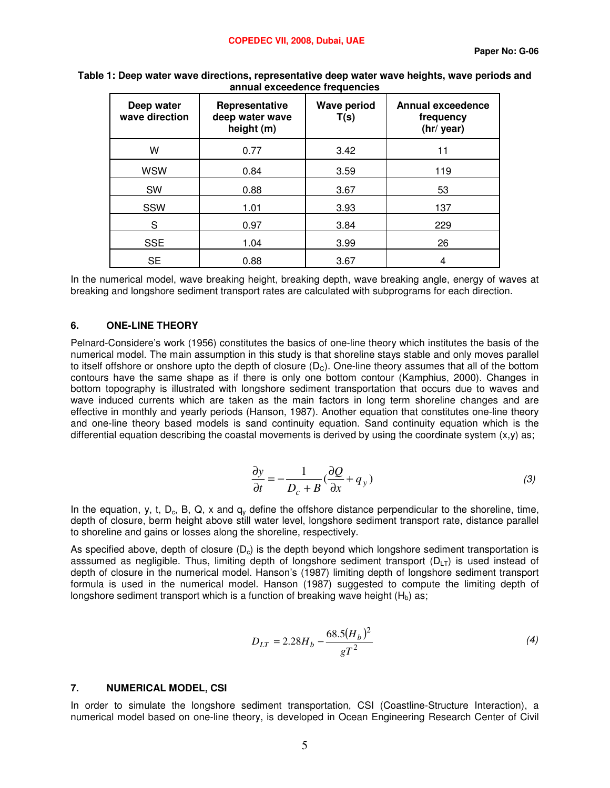| Deep water<br>wave direction | Representative<br>deep water wave<br>height (m) | <b>Wave period</b><br>T(s) | <b>Annual exceedence</b><br>frequency<br>(hr/ year) |
|------------------------------|-------------------------------------------------|----------------------------|-----------------------------------------------------|
| W                            | 0.77                                            | 3.42                       | 11                                                  |
| <b>WSW</b>                   | 0.84                                            | 3.59                       | 119                                                 |
| SW                           | 0.88                                            | 3.67                       | 53                                                  |
| SSW                          | 1.01                                            | 3.93                       | 137                                                 |
| S                            | 0.97                                            | 3.84                       | 229                                                 |
| <b>SSE</b>                   | 1.04                                            | 3.99                       | 26                                                  |
| <b>SE</b>                    | 0.88                                            | 3.67                       | 4                                                   |

**Table 1: Deep water wave directions, representative deep water wave heights, wave periods and annual exceedence frequencies** 

In the numerical model, wave breaking height, breaking depth, wave breaking angle, energy of waves at breaking and longshore sediment transport rates are calculated with subprograms for each direction.

### **6. ONE-LINE THEORY**

Pelnard-Considere's work (1956) constitutes the basics of one-line theory which institutes the basis of the numerical model. The main assumption in this study is that shoreline stays stable and only moves parallel to itself offshore or onshore upto the depth of closure  $(D<sub>C</sub>)$ . One-line theory assumes that all of the bottom contours have the same shape as if there is only one bottom contour (Kamphius, 2000). Changes in bottom topography is illustrated with longshore sediment transportation that occurs due to waves and wave induced currents which are taken as the main factors in long term shoreline changes and are effective in monthly and yearly periods (Hanson, 1987). Another equation that constitutes one-line theory and one-line theory based models is sand continuity equation. Sand continuity equation which is the differential equation describing the coastal movements is derived by using the coordinate system (x,y) as;

$$
\frac{\partial y}{\partial t} = -\frac{1}{D_c + B} \left( \frac{\partial Q}{\partial x} + q_y \right) \tag{3}
$$

In the equation, y, t, D<sub>c</sub>, B, Q, x and  $q_v$  define the offshore distance perpendicular to the shoreline, time, depth of closure, berm height above still water level, longshore sediment transport rate, distance parallel to shoreline and gains or losses along the shoreline, respectively.

As specified above, depth of closure  $(D<sub>c</sub>)$  is the depth beyond which longshore sediment transportation is asssumed as negligible. Thus, limiting depth of longshore sediment transport ( $D_{LT}$ ) is used instead of depth of closure in the numerical model. Hanson's (1987) limiting depth of longshore sediment transport formula is used in the numerical model. Hanson (1987) suggested to compute the limiting depth of longshore sediment transport which is a function of breaking wave height  $(H_b)$  as;

$$
D_{LT} = 2.28H_b - \frac{68.5(H_b)^2}{gT^2}
$$
\n(4)

#### **7. NUMERICAL MODEL, CSI**

In order to simulate the longshore sediment transportation, CSI (Coastline-Structure Interaction), a numerical model based on one-line theory, is developed in Ocean Engineering Research Center of Civil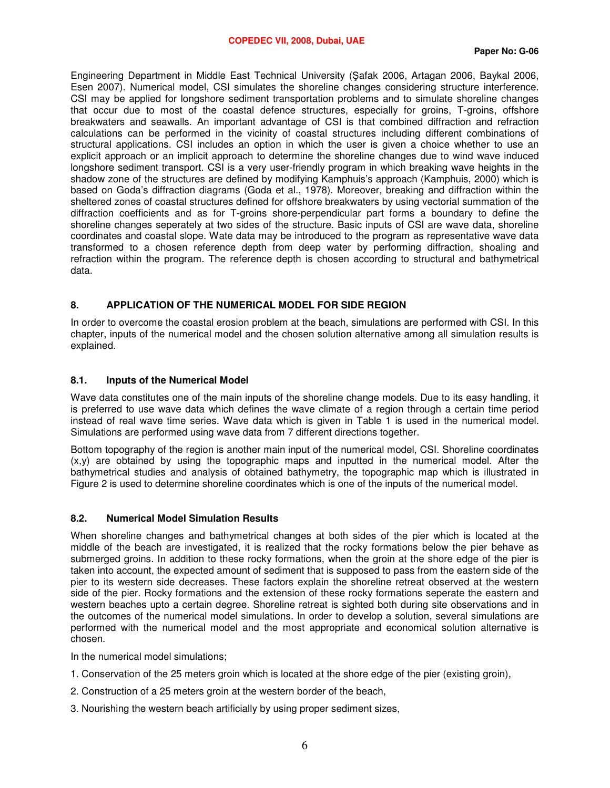Engineering Department in Middle East Technical University (Şafak 2006, Artagan 2006, Baykal 2006, Esen 2007). Numerical model, CSI simulates the shoreline changes considering structure interference. CSI may be applied for longshore sediment transportation problems and to simulate shoreline changes that occur due to most of the coastal defence structures, especially for groins, T-groins, offshore breakwaters and seawalls. An important advantage of CSI is that combined diffraction and refraction calculations can be performed in the vicinity of coastal structures including different combinations of structural applications. CSI includes an option in which the user is given a choice whether to use an explicit approach or an implicit approach to determine the shoreline changes due to wind wave induced longshore sediment transport. CSI is a very user-friendly program in which breaking wave heights in the shadow zone of the structures are defined by modifying Kamphuis's approach (Kamphuis, 2000) which is based on Goda's diffraction diagrams (Goda et al., 1978). Moreover, breaking and diffraction within the sheltered zones of coastal structures defined for offshore breakwaters by using vectorial summation of the diffraction coefficients and as for T-groins shore-perpendicular part forms a boundary to define the shoreline changes seperately at two sides of the structure. Basic inputs of CSI are wave data, shoreline coordinates and coastal slope. Wate data may be introduced to the program as representative wave data transformed to a chosen reference depth from deep water by performing diffraction, shoaling and refraction within the program. The reference depth is chosen according to structural and bathymetrical data.

# **8. APPLICATION OF THE NUMERICAL MODEL FOR SIDE REGION**

In order to overcome the coastal erosion problem at the beach, simulations are performed with CSI. In this chapter, inputs of the numerical model and the chosen solution alternative among all simulation results is explained.

# **8.1. Inputs of the Numerical Model**

Wave data constitutes one of the main inputs of the shoreline change models. Due to its easy handling, it is preferred to use wave data which defines the wave climate of a region through a certain time period instead of real wave time series. Wave data which is given in Table 1 is used in the numerical model. Simulations are performed using wave data from 7 different directions together.

Bottom topography of the region is another main input of the numerical model, CSI. Shoreline coordinates  $(x,y)$  are obtained by using the topographic maps and inputted in the numerical model. After the bathymetrical studies and analysis of obtained bathymetry, the topographic map which is illustrated in Figure 2 is used to determine shoreline coordinates which is one of the inputs of the numerical model.

### **8.2. Numerical Model Simulation Results**

When shoreline changes and bathymetrical changes at both sides of the pier which is located at the middle of the beach are investigated, it is realized that the rocky formations below the pier behave as submerged groins. In addition to these rocky formations, when the groin at the shore edge of the pier is taken into account, the expected amount of sediment that is supposed to pass from the eastern side of the pier to its western side decreases. These factors explain the shoreline retreat observed at the western side of the pier. Rocky formations and the extension of these rocky formations seperate the eastern and western beaches upto a certain degree. Shoreline retreat is sighted both during site observations and in the outcomes of the numerical model simulations. In order to develop a solution, several simulations are performed with the numerical model and the most appropriate and economical solution alternative is chosen.

In the numerical model simulations;

- 1. Conservation of the 25 meters groin which is located at the shore edge of the pier (existing groin),
- 2. Construction of a 25 meters groin at the western border of the beach,
- 3. Nourishing the western beach artificially by using proper sediment sizes,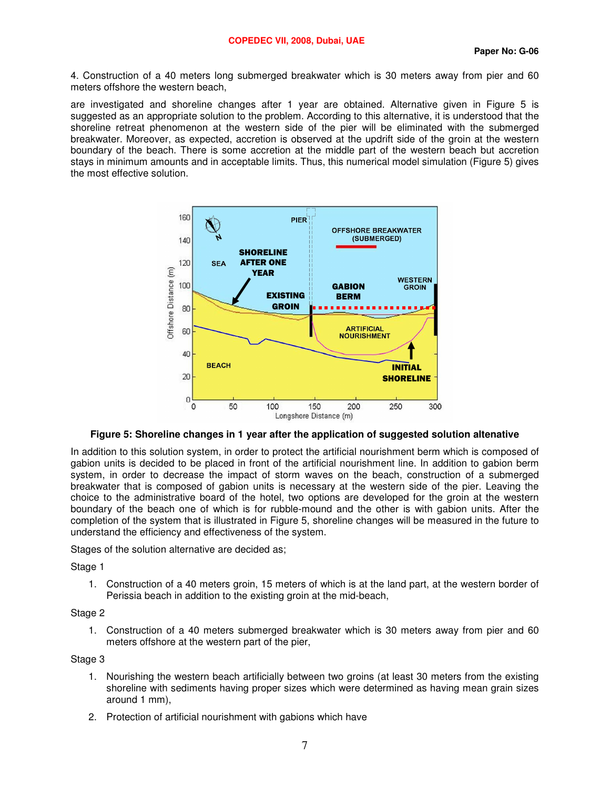4. Construction of a 40 meters long submerged breakwater which is 30 meters away from pier and 60 meters offshore the western beach,

are investigated and shoreline changes after 1 year are obtained. Alternative given in Figure 5 is suggested as an appropriate solution to the problem. According to this alternative, it is understood that the shoreline retreat phenomenon at the western side of the pier will be eliminated with the submerged breakwater. Moreover, as expected, accretion is observed at the updrift side of the groin at the western boundary of the beach. There is some accretion at the middle part of the western beach but accretion stays in minimum amounts and in acceptable limits. Thus, this numerical model simulation (Figure 5) gives the most effective solution.



**Figure 5: Shoreline changes in 1 year after the application of suggested solution altenative** 

In addition to this solution system, in order to protect the artificial nourishment berm which is composed of gabion units is decided to be placed in front of the artificial nourishment line. In addition to gabion berm system, in order to decrease the impact of storm waves on the beach, construction of a submerged breakwater that is composed of gabion units is necessary at the western side of the pier. Leaving the choice to the administrative board of the hotel, two options are developed for the groin at the western boundary of the beach one of which is for rubble-mound and the other is with gabion units. After the completion of the system that is illustrated in Figure 5, shoreline changes will be measured in the future to understand the efficiency and effectiveness of the system.

Stages of the solution alternative are decided as;

Stage 1

1. Construction of a 40 meters groin, 15 meters of which is at the land part, at the western border of Perissia beach in addition to the existing groin at the mid-beach,

# Stage 2

1. Construction of a 40 meters submerged breakwater which is 30 meters away from pier and 60 meters offshore at the western part of the pier,

#### Stage 3

- 1. Nourishing the western beach artificially between two groins (at least 30 meters from the existing shoreline with sediments having proper sizes which were determined as having mean grain sizes around 1 mm),
- 2. Protection of artificial nourishment with gabions which have